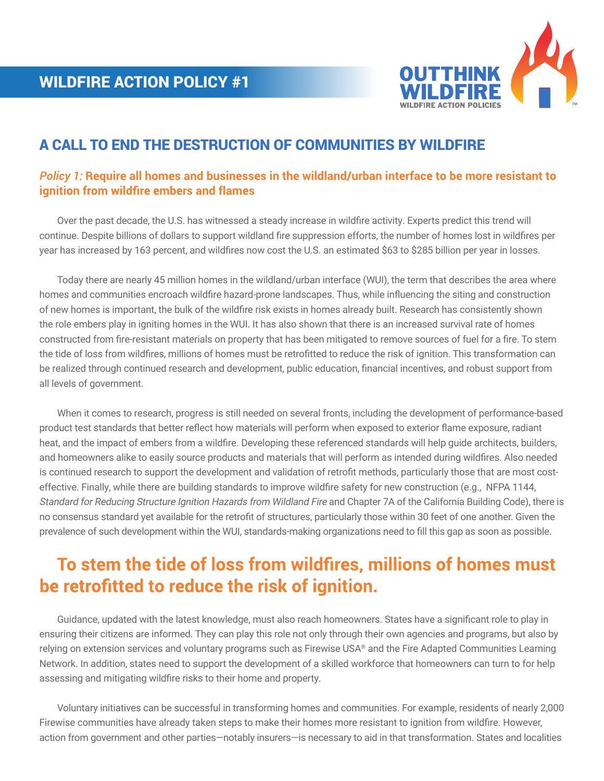

### A CALL TO END THE DESTRUCTION OF COMMUNITIES BY WILDFIRE

#### *Policy 1:* **Require all homes and businesses in the wildland/urban interface to be more resistant to ignition from wildfire embers and flames**

 Over the past decade, the U.S. has witnessed a steady increase in wildfire activity. Experts predict this trend will continue. Despite billions of dollars to support wildland fire suppression efforts, the number of homes lost in wildfires per year has increased by 163 percent, and wildfires now cost the U.S. an estimated \$63 to \$285 billion per year in losses.

 Today there are nearly 45 million homes in the wildland/urban interface (WUI), the term that describes the area where homes and communities encroach wildfire hazard-prone landscapes. Thus, while influencing the siting and construction of new homes is important, the bulk of the wildfire risk exists in homes already built. Research has consistently shown the role embers play in igniting homes in the WUI. It has also shown that there is an increased survival rate of homes constructed from fire-resistant materials on property that has been mitigated to remove sources of fuel for a fire. To stem the tide of loss from wildfires, millions of homes must be retrofitted to reduce the risk of ignition. This transformation can be realized through continued research and development, public education, financial incentives, and robust support from all levels of government.

 When it comes to research, progress is still needed on several fronts, including the development of performance-based product test standards that better reflect how materials will perform when exposed to exterior flame exposure, radiant heat, and the impact of embers from a wildfire. Developing these referenced standards will help guide architects, builders, and homeowners alike to easily source products and materials that will perform as intended during wildfires. Also needed is continued research to support the development and validation of retrofit methods, particularly those that are most costeffective. Finally, while there are building standards to improve wildfire safety for new construction (e.g., NFPA 1144, Standard for Reducing Structure Ignition Hazards from Wildland Fire and Chapter 7A of the California Building Code), there is no consensus standard yet available for the retrofit of structures, particularly those within 30 feet of one another. Given the prevalence of such development within the WUI, standards-making organizations need to fill this gap as soon as possible.

# **To stem the tide of loss from wildfires, millions of homes must be retrofitted to reduce the risk of ignition.**

 Guidance, updated with the latest knowledge, must also reach homeowners. States have a significant role to play in ensuring their citizens are informed. They can play this role not only through their own agencies and programs, but also by relying on extension services and voluntary programs such as Firewise USA® and the Fire Adapted Communities Learning Network. In addition, states need to support the development of a skilled workforce that homeowners can turn to for help assessing and mitigating wildfire risks to their home and property.

 Voluntary initiatives can be successful in transforming homes and communities. For example, residents of nearly 2,000 Firewise communities have already taken steps to make their homes more resistant to ignition from wildfire. However, action from government and other parties—notably insurers—is necessary to aid in that transformation. States and localities